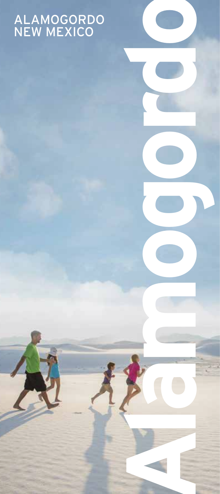#### ALAMOGORDO NEW MEXICO

**Alamogordo**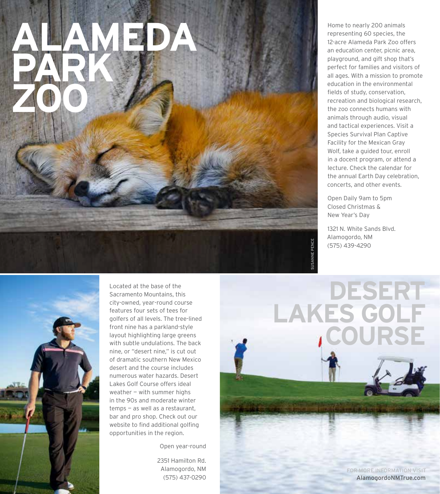# **ALAMEDA PARK ZOO**

Home to nearly 200 animals representing 60 species, the 12-acre Alameda Park Zoo offers an education center, picnic area, playground, and gift shop that's perfect for families and visitors of all ages. With a mission to promote education in the environmental fields of study, conservation, recreation and biological research, the zoo connects humans with animals through audio, visual and tactical experiences. Visit a Species Survival Plan Captive Facility for the Mexican Gray Wolf, take a guided tour, enroll in a docent program, or attend a lecture. Check the calendar for the annual Earth Day celebration, concerts, and other events.

Open Daily 9am to 5pm Closed Christmas & New Year's Day

1321 N. White Sands Blvd. Alamogordo, NM (575) 439-4290



Located at the base of the Sacramento Mountains, this city-owned, year-round course features four sets of tees for golfers of all levels. The tree-lined front nine has a parkland-style layout highlighting large greens with subtle undulations. The back nine, or "desert nine," is cut out of dramatic southern New Mexico desert and the course includes numerous water hazards. Desert Lakes Golf Course offers ideal weather — with summer highs in the 90s and moderate winter temps — as well as a restaurant, bar and pro shop. Check out our website to find additional golfing opportunities in the region.

Open year-round

2351 Hamilton Rd. Alamogordo, NM (575) 437-0290

**DESERT LAKES GOLF COURSE**

**SUSANNE PENCE** SUSANNE PENCE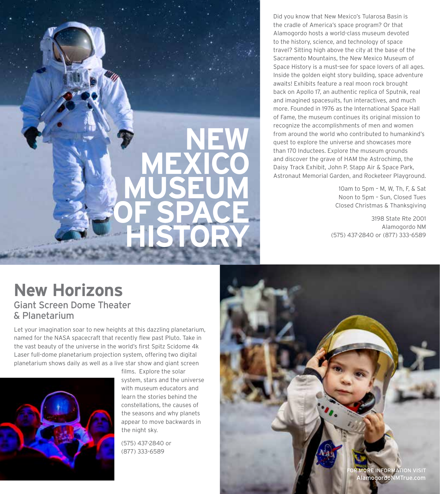**NEW MEXICO MUSEUM OF SPACE** 

Did you know that New Mexico's Tularosa Basin is the cradle of America's space program? Or that Alamogordo hosts a world-class museum devoted to the history, science, and technology of space travel? Sitting high above the city at the base of the Sacramento Mountains, the New Mexico Museum of Space History is a must-see for space lovers of all ages. Inside the golden eight story building, space adventure awaits! Exhibits feature a real moon rock brought back on Apollo 17, an authentic replica of Sputnik, real and imagined spacesuits, fun interactives, and much more. Founded in 1976 as the International Space Hall of Fame, the museum continues its original mission to recognize the accomplishments of men and women from around the world who contributed to humankind's quest to explore the universe and showcases more than 170 Inductees. Explore the museum grounds and discover the grave of HAM the Astrochimp, the Daisy Track Exhibit, John P. Stapp Air & Space Park, Astronaut Memorial Garden, and Rocketeer Playground.

> 10am to 5pm – M, W, Th, F, & Sat Noon to 5pm – Sun, Closed Tues Closed Christmas & Thanksgiving

3198 State Rte 2001 Alamogordo NM (575) 437-2840 or (877) 333-6589

#### **New Horizons**

Giant Screen Dome Theater & Planetarium

Let your imagination soar to new heights at this dazzling planetarium, named for the NASA spacecraft that recently flew past Pluto. Take in the vast beauty of the universe in the world's first Spitz Scidome 4k Laser full-dome planetarium projection system, offering two digital planetarium shows daily as well as a live star show and giant screen



films. Explore the solar system, stars and the universe with museum educators and learn the stories behind the constellations, the causes of the seasons and why planets appear to move backwards in the night sky.

**HISTORY**

(575) 437-2840 or (877) 333-6589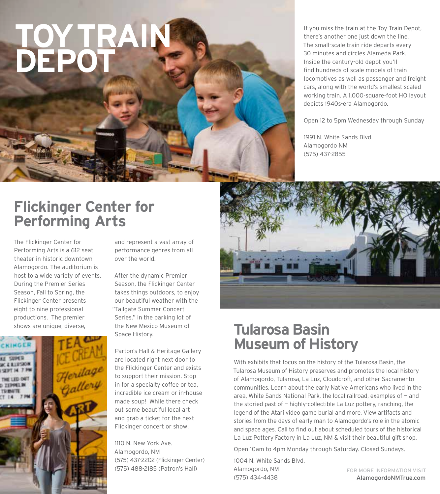## **TOY TRAIN DEPOT**

If you miss the train at the Toy Train Depot, there's another one just down the line. The small-scale train ride departs every 30 minutes and circles Alameda Park. Inside the century-old depot you'll find hundreds of scale models of train locomotives as well as passenger and freight cars, along with the world's smallest scaled working train. A 1,000-square-foot HO layout depicts 1940s-era Alamogordo.

Open 12 to 5pm Wednesday through Sunday

1991 N. White Sands Blvd. Alamogordo NM (575) 437-2855

#### **Flickinger Center for Performing Arts**

The Flickinger Center for Performing Arts is a 612-seat theater in historic downtown Alamogordo. The auditorium is host to a wide variety of events. During the Premier Series Season, Fall to Spring, the Flickinger Center presents eight to nine professional productions. The premier shows are unique, diverse,



and represent a vast array of performance genres from all over the world.

After the dynamic Premier Season, the Flickinger Center takes things outdoors, to enjoy our beautiful weather with the "Tailgate Summer Concert Series," in the parking lot of the New Mexico Museum of Space History.

Parton's Hall & Heritage Gallery are located right next door to the Flickinger Center and exists to support their mission. Stop in for a specialty coffee or tea, incredible ice cream or in-house made soup! While there check out some beautiful local art and grab a ticket for the next Flickinger concert or show!

1110 N. New York Ave. Alamogordo, NM (575) 437-2202 (Flickinger Center) (575) 488-2185 (Patron's Hall)



#### **Tularosa Basin Museum of History**

With exhibits that focus on the history of the Tularosa Basin, the Tularosa Museum of History preserves and promotes the local history of Alamogordo, Tularosa, La Luz, Cloudcroft, and other Sacramento communities. Learn about the early Native Americans who lived in the area, White Sands National Park, the local railroad, examples of — and the storied past of — highly-collectible La Luz pottery, ranching, the legend of the Atari video game burial and more. View artifacts and stories from the days of early man to Alamogordo's role in the atomic and space ages. Call to find out about scheduled tours of the historical La Luz Pottery Factory in La Luz, NM & visit their beautiful gift shop.

Open 10am to 4pm Monday through Saturday. Closed Sundays.

1004 N. White Sands Blvd. Alamogordo, NM (575) 434-4438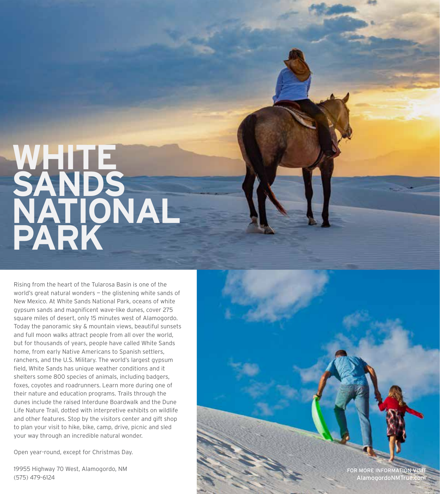## **WHITE**  SANDS **NATIONAL PARK**

Rising from the heart of the Tularosa Basin is one of the world's great natural wonders – the glistening white sands of New Mexico. At White Sands National Park, oceans of white gypsum sands and magnificent wave-like dunes, cover 275 square miles of desert, only 15 minutes west of Alamogordo. Today the panoramic sky & mountain views, beautiful sunsets and full moon walks attract people from all over the world, but for thousands of years, people have called White Sands home, from early Native Americans to Spanish settlers, ranchers, and the U.S. Military. The world's largest gypsum field, White Sands has unique weather conditions and it shelters some 800 species of animals, including badgers, foxes, coyotes and roadrunners. Learn more during one of their nature and education programs. Trails through the dunes include the raised Interdune Boardwalk and the Dune Life Nature Trail, dotted with interpretive exhibits on wildlife and other features. Stop by the visitors center and gift shop to plan your visit to hike, bike, camp, drive, picnic and sled your way through an incredible natural wonder.

Open year-round, except for Christmas Day.

19955 Highway 70 West, Alamogordo, NM (575) 479-6124

FOR MORE INFORM AlamogordoNMTri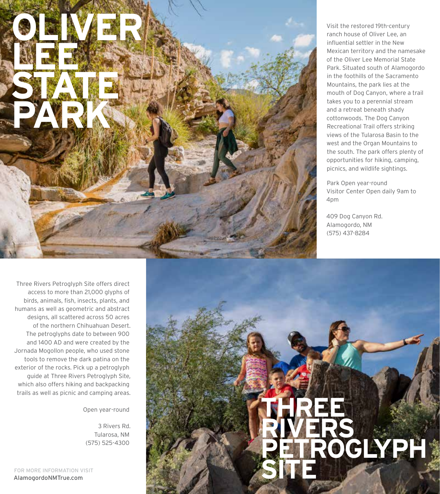

Visit the restored 19th-century ranch house of Oliver Lee, an influential settler in the New Mexican territory and the namesake of the Oliver Lee Memorial State Park. Situated south of Alamogordo in the foothills of the Sacramento Mountains, the park lies at the mouth of Dog Canyon, where a trail takes you to a perennial stream and a retreat beneath shady cottonwoods. The Dog Canyon Recreational Trail offers striking views of the Tularosa Basin to the west and the Organ Mountains to the south. The park offers plenty of opportunities for hiking, camping, picnics, and wildlife sightings.

Park Open year-round Visitor Center Open daily 9am to 4pm

409 Dog Canyon Rd. Alamogordo, NM (575) 437-8284

**THREE** 

**SITE**

**RIVERS** 

**PETROGLYPH** 

Three Rivers Petroglyph Site offers direct access to more than 21,000 glyphs of birds, animals, fish, insects, plants, and humans as well as geometric and abstract designs, all scattered across 50 acres of the northern Chihuahuan Desert. The petroglyphs date to between 900 and 1400 AD and were created by the Jornada Mogollon people, who used stone tools to remove the dark patina on the exterior of the rocks. Pick up a petroglyph guide at Three Rivers Petroglyph Site, which also offers hiking and backpacking trails as well as picnic and camping areas.

Open year-round

3 Rivers Rd. Tularosa, NM (575) 525-4300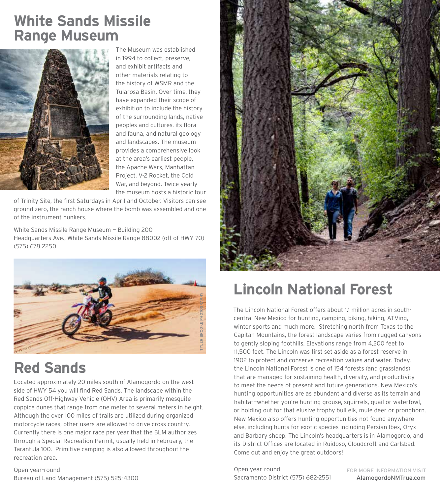#### **White Sands Missile Range Museum**



The Museum was established in 1994 to collect, preserve, and exhibit artifacts and other materials relating to the history of WSMR and the Tularosa Basin. Over time, they have expanded their scope of exhibition to include the history of the surrounding lands, native peoples and cultures, its flora and fauna, and natural geology and landscapes. The museum provides a comprehensive look at the area's earliest people, the Apache Wars, Manhattan Project, V-2 Rocket, the Cold War, and beyond. Twice yearly the museum hosts a historic tour

of Trinity Site, the first Saturdays in April and October. Visitors can see ground zero, the ranch house where the bomb was assembled and one of the instrument bunkers.

White Sands Missile Range Museum — Building 200 Headquarters Ave., White Sands Missile Range 88002 (off of HWY 70) (575) 678-2250



#### **Red Sands**

Located approximately 20 miles south of Alamogordo on the west side of HWY 54 you will find Red Sands. The landscape within the Red Sands Off-Highway Vehicle (OHV) Area is primarily mesquite coppice dunes that range from one meter to several meters in height. Although the over 100 miles of trails are utilized during organized motorcycle races, other users are allowed to drive cross country. Currently there is one major race per year that the BLM authorizes through a Special Recreation Permit, usually held in February, the Tarantula 100. Primitive camping is also allowed throughout the recreation area.

Open year-round Bureau of Land Management (575) 525-4300



#### **Lincoln National Forest**

The Lincoln National Forest offers about 1.1 million acres in southcentral New Mexico for hunting, camping, biking, hiking, ATVing, winter sports and much more. Stretching north from Texas to the Capitan Mountains, the forest landscape varies from rugged canyons to gently sloping foothills. Elevations range from 4,200 feet to 11,500 feet. The Lincoln was first set aside as a forest reserve in 1902 to protect and conserve recreation values and water. Today, the Lincoln National Forest is one of 154 forests (and grasslands) that are managed for sustaining health, diversity, and productivity to meet the needs of present and future generations. New Mexico's hunting opportunities are as abundant and diverse as its terrain and habitat—whether you're hunting grouse, squirrels, quail or waterfowl, or holding out for that elusive trophy bull elk, mule deer or pronghorn. New Mexico also offers hunting opportunities not found anywhere else, including hunts for exotic species including Persian Ibex, Oryx and Barbary sheep. The Lincoln's headquarters is in Alamogordo, and its District Offices are located in Ruidoso, Cloudcroft and Carlsbad. Come out and enjoy the great outdoors!

Open year-round Sacramento District (575) 682-2551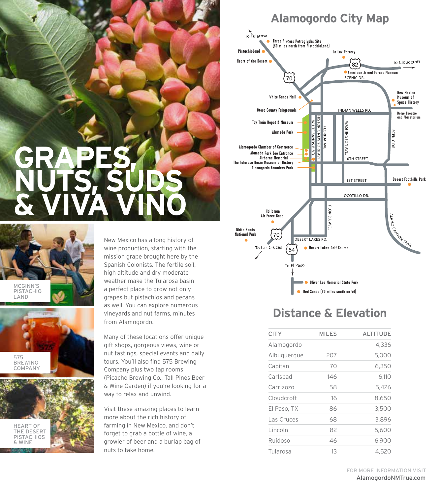### **GRAPES, NUTS, SUDS & VIVA VINO**







New Mexico has a long history of wine production, starting with the mission grape brought here by the Spanish Colonists. The fertile soil, high altitude and dry moderate weather make the Tularosa basin a perfect place to grow not only grapes but pistachios and pecans as well. You can explore numerous vineyards and nut farms, minutes from Alamogordo.

Many of these locations offer unique gift shops, gorgeous views, wine or nut tastings, special events and daily tours. You'll also find 575 Brewing Company plus two tap rooms (Picacho Brewing Co., Tall Pines Beer & Wine Garden) if you're looking for a way to relax and unwind.

Visit these amazing places to learn more about the rich history of farming in New Mexico, and don't forget to grab a bottle of wine, a growler of beer and a burlap bag of nuts to take home.





#### **Distance & Elevation**

| <b>CITY</b> | <b>MILES</b> | <b>ALTITUDE</b> |
|-------------|--------------|-----------------|
| Alamogordo  |              | 4,336           |
| Albuquerque | 207          | 5,000           |
| Capitan     | 70           | 6,350           |
| Carlsbad    | 146          | 6,110           |
| Carrizozo   | 58           | 5,426           |
| Cloudcroft  | 16           | 8,650           |
| El Paso, TX | 86           | 3,500           |
| Las Cruces  | 68           | 3,896           |
| Lincoln     | 82           | 5,600           |
| Ruidoso     | 46           | 6,900           |
| Tularosa    | 13           | 4,520           |